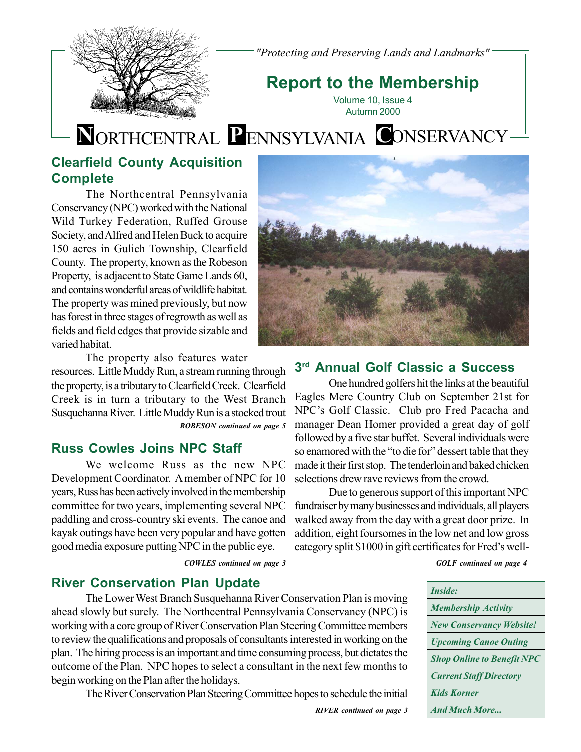

*"Protecting and Preserving Lands and Landmarks"*

# **Report to the Membership**

Volume 10, Issue 4 Autumn 2000

# **N**ORTHCENTRAL **P**ENNSYLVANIA **C**ONSERVANCY

### **Clearfield County Acquisition Complete**

The Northcentral Pennsylvania Conservancy (NPC) worked with the National Wild Turkey Federation, Ruffed Grouse Society, and Alfred and Helen Buck to acquire 150 acres in Gulich Township, Clearfield County. The property, known as the Robeson Property, is adjacent to State Game Lands 60, and contains wonderful areas of wildlife habitat. The property was mined previously, but now has forest in three stages of regrowth as well as fields and field edges that provide sizable and varied habitat.

The property also features water

resources. Little Muddy Run, a stream running through the property, is a tributary to Clearfield Creek. Clearfield Creek is in turn a tributary to the West Branch Susquehanna River. Little Muddy Run is a stocked trout *ROBESON continued on page 5*

### **Russ Cowles Joins NPC Staff**

We welcome Russ as the new NPC Development Coordinator. A member of NPC for 10 years, Russ has been actively involved in the membership committee for two years, implementing several NPC paddling and cross-country ski events. The canoe and kayak outings have been very popular and have gotten good media exposure putting NPC in the public eye.

*COWLES continued on page 3 GOLF continued on page 4*



### **3rd Annual Golf Classic a Success**

One hundred golfers hit the links at the beautiful Eagles Mere Country Club on September 21st for NPC's Golf Classic. Club pro Fred Pacacha and manager Dean Homer provided a great day of golf followed by a five star buffet. Several individuals were so enamored with the "to die for" dessert table that they made it their first stop. The tenderloin and baked chicken selections drew rave reviews from the crowd.

Due to generous support of this important NPC fundraiser by many businesses and individuals, all players walked away from the day with a great door prize. In addition, eight foursomes in the low net and low gross category split \$1000 in gift certificates for Fred's well-

### **River Conservation Plan Update**

The Lower West Branch Susquehanna River Conservation Plan is moving ahead slowly but surely. The Northcentral Pennsylvania Conservancy (NPC) is working with a core group of River Conservation Plan Steering Committee members to review the qualifications and proposals of consultants interested in working on the plan. The hiring process is an important and time consuming process, but dictates the outcome of the Plan. NPC hopes to select a consultant in the next few months to begin working on the Plan after the holidays.

The River Conservation Plan Steering Committee hopes to schedule the initial

| <i>Inside:</i>                    |
|-----------------------------------|
| <b>Membership Activity</b>        |
| <b>New Conservancy Website!</b>   |
| <b>Upcoming Canoe Outing</b>      |
| <b>Shop Online to Benefit NPC</b> |
| <b>Current Staff Directory</b>    |
| <b>Kids Korner</b>                |
| <b>And Much More</b>              |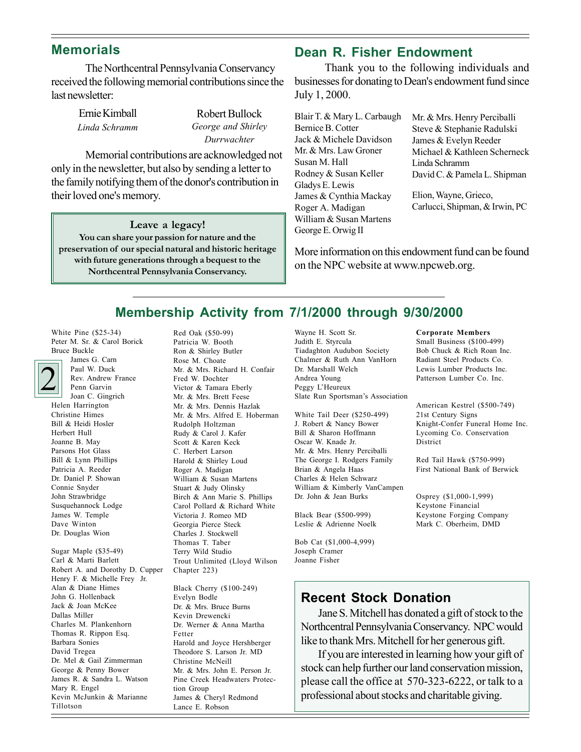### **Memorials**

The Northcentral Pennsylvania Conservancy received the following memorial contributions since the last newsletter:

> Ernie Kimball *Linda Schramm*

Robert Bullock *George and Shirley Durrwachter*

Memorial contributions are acknowledged not only in the newsletter, but also by sending a letter to the family notifying them of the donor's contribution in their loved one's memory.

**Leave a legacy! You can share your passion for nature and the preservation of our special natural and historic heritage with future generations through a bequest to the Northcentral Pennsylvania Conservancy.**

### **Dean R. Fisher Endowment**

 Thank you to the following individuals and businesses for donating to Dean's endowment fund since July 1, 2000.

Blair T. & Mary L. Carbaugh Bernice B. Cotter Jack & Michele Davidson Mr. & Mrs. Law Groner Susan M. Hall Rodney & Susan Keller Gladys E. Lewis James & Cynthia Mackay Roger A. Madigan William & Susan Martens George E. Orwig II

Mr. & Mrs. Henry Perciballi Steve & Stephanie Radulski James & Evelyn Reeder Michael & Kathleen Scherneck Linda Schramm David C. & Pamela L. Shipman

Elion, Wayne, Grieco, Carlucci, Shipman, & Irwin, PC

More information on this endowment fund can be found on the NPC website at www.npcweb.org.

### **Membership Activity from 7/1/2000 through 9/30/2000**

White Pine (\$25-34) Peter M. Sr. & Carol Borick Bruce Buckle



James G. Carn Paul W. Duck Rev. Andrew France Penn Garvin Joan C. Gingrich Helen Harrington Christine Himes Bill & Heidi Hosler Herbert Hull Joanne B. May Parsons Hot Glass Bill & Lynn Phillips Patricia A. Reeder Dr. Daniel P. Showan Connie Snyder John Strawbridge Susquehannock Lodge James W. Temple Dave Winton Dr. Douglas Wion

Sugar Maple (\$35-49) Carl & Marti Barlett Robert A. and Dorothy D. Cupper Henry F. & Michelle Frey Jr. Alan & Diane Himes John G. Hollenback Jack & Joan McKee Dallas Miller Charles M. Plankenhorn Thomas R. Rippon Esq. Barbara Sonies David Tregea Dr. Mel & Gail Zimmerman George & Penny Bower James R. & Sandra L. Watson Mary R. Engel Kevin McJunkin & Marianne Tillotson

Red Oak (\$50-99) Patricia W. Booth Ron & Shirley Butler Rose M. Choate Mr. & Mrs. Richard H. Confair Fred W. Dochter Victor & Tamara Eberly Mr. & Mrs. Brett Feese Mr. & Mrs. Dennis Hazlak Mr. & Mrs. Alfred E. Hoberman Rudolph Holtzman Rudy & Carol J. Kafer Scott & Karen Keck C. Herbert Larson Harold & Shirley Loud Roger A. Madigan William & Susan Martens Stuart & Judy Olinsky Birch & Ann Marie S. Phillips Carol Pollard & Richard White Victoria J. Romeo MD Georgia Pierce Steck Charles J. Stockwell Thomas T. Taber Terry Wild Studio Trout Unlimited (Lloyd Wilson Chapter 223)

Black Cherry (\$100-249) Evelyn Bodle Dr. & Mrs. Bruce Burns Kevin Drewencki Dr. Werner & Anna Martha Fetter Harold and Joyce Hershberger Theodore S. Larson Jr. MD Christine McNeill Mr. & Mrs. John E. Person Jr. Pine Creek Headwaters Protection Group James & Cheryl Redmond Lance E. Robson

Wayne H. Scott Sr. Judith E. Styrcula Tiadaghton Audubon Society Chalmer & Ruth Ann VanHorn Dr. Marshall Welch Andrea Young Peggy L'Heureux Slate Run Sportsman's Association

White Tail Deer (\$250-499) J. Robert & Nancy Bower Bill & Sharon Hoffmann Oscar W. Knade Jr. Mr. & Mrs. Henry Perciballi The George I. Rodgers Family Brian & Angela Haas Charles & Helen Schwarz William & Kimberly VanCampen Dr. John & Jean Burks

Black Bear (\$500-999) Leslie & Adrienne Noelk

Bob Cat (\$1,000-4,999) Joseph Cramer Joanne Fisher

**Corporate Members** Small Business (\$100-499) Bob Chuck & Rich Roan Inc. Radiant Steel Products Co. Lewis Lumber Products Inc. Patterson Lumber Co. Inc.

American Kestrel (\$500-749) 21st Century Signs Knight-Confer Funeral Home Inc. Lycoming Co. Conservation District

Red Tail Hawk (\$750-999) First National Bank of Berwick

Osprey (\$1,000-1,999) Keystone Financial Keystone Forging Company Mark C. Oberheim, DMD

### **Recent Stock Donation**

Jane S. Mitchell has donated a gift of stock to the Northcentral Pennsylvania Conservancy. NPC would like to thank Mrs. Mitchell for her generous gift.

If you are interested in learning how your gift of stock can help further our land conservation mission, please call the office at 570-323-6222, or talk to a professional about stocks and charitable giving.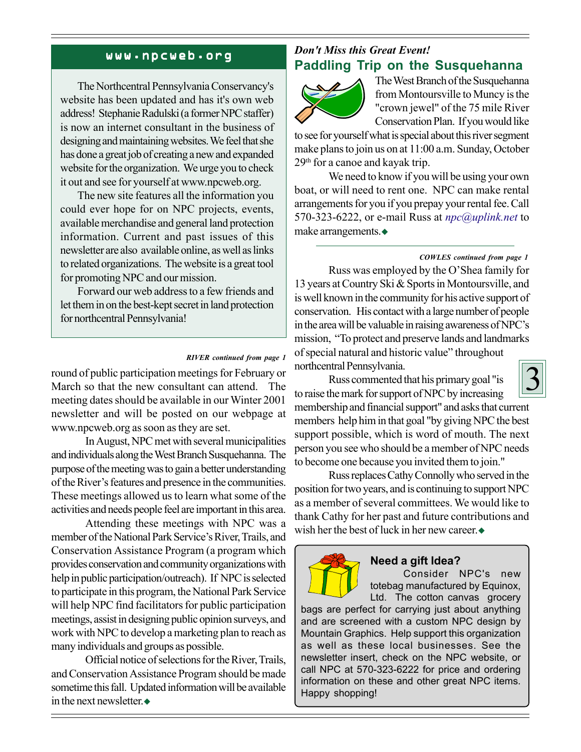#### www.npcweb.org

The Northcentral Pennsylvania Conservancy's website has been updated and has it's own web address! Stephanie Radulski (a former NPC staffer) is now an internet consultant in the business of designing and maintaining websites. We feel that she has done a great job of creating a new and expanded website for the organization. We urge you to check it out and see for yourself at www.npcweb.org.

The new site features all the information you could ever hope for on NPC projects, events, available merchandise and general land protection information. Current and past issues of this newsletter are also available online, as well as links to related organizations. The website is a great tool for promoting NPC and our mission.

Forward our web address to a few friends and let them in on the best-kept secret in land protection for northcentral Pennsylvania!

#### *RIVER continued from page 1*

round of public participation meetings for February or March so that the new consultant can attend. The meeting dates should be available in our Winter 2001 newsletter and will be posted on our webpage at www.npcweb.org as soon as they are set.

In August, NPC met with several municipalities and individuals along the West Branch Susquehanna. The purpose of the meeting was to gain a better understanding of the River's features and presence in the communities. These meetings allowed us to learn what some of the activities and needs people feel are important in this area.

Attending these meetings with NPC was a member of the National Park Service's River, Trails, and Conservation Assistance Program (a program which provides conservation and community organizations with help in public participation/outreach). If NPC is selected to participate in this program, the National Park Service will help NPC find facilitators for public participation meetings, assist in designing public opinion surveys, and work with NPC to develop a marketing plan to reach as many individuals and groups as possible.

Official notice of selections for the River, Trails, and Conservation Assistance Program should be made sometime this fall. Updated information will be available in the next newsletter.

### *Don't Miss this Great Event!* **Paddling Trip on the Susquehanna**



The West Branch of the Susquehanna from Montoursville to Muncy is the "crown jewel" of the 75 mile River Conservation Plan. If you would like

to see for yourself what is special about this river segment make plans to join us on at 11:00 a.m. Sunday, October 29th for a canoe and kayak trip.

We need to know if you will be using your own boat, or will need to rent one. NPC can make rental arrangements for you if you prepay your rental fee. Call 570-323-6222, or e-mail Russ at *npc@uplink.net* to make arrangements.

#### *COWLES continued from page 1*

Russ was employed by the O'Shea family for 13 years at Country Ski & Sports in Montoursville, and is well known in the community for his active support of conservation. His contact with a large number of people in the area will be valuable in raising awareness of NPC's mission, "To protect and preserve lands and landmarks" of special natural and historic value" throughout northcentral Pennsylvania.

Russ commented that his primary goal "is



to raise the mark for support of NPC by increasing membership and financial support" and asks that current members help him in that goal "by giving NPC the best support possible, which is word of mouth. The next person you see who should be a member of NPC needs to become one because you invited them to join."

Russ replaces Cathy Connolly who served in the position for two years, and is continuing to support NPC as a member of several committees. We would like to thank Cathy for her past and future contributions and wish her the best of luck in her new career.



#### **Need a gift Idea?**

Consider NPC's new totebag manufactured by Equinox, Ltd. The cotton canvas grocery

bags are perfect for carrying just about anything and are screened with a custom NPC design by Mountain Graphics. Help support this organization as well as these local businesses. See the newsletter insert, check on the NPC website, or call NPC at 570-323-6222 for price and ordering information on these and other great NPC items. Happy shopping!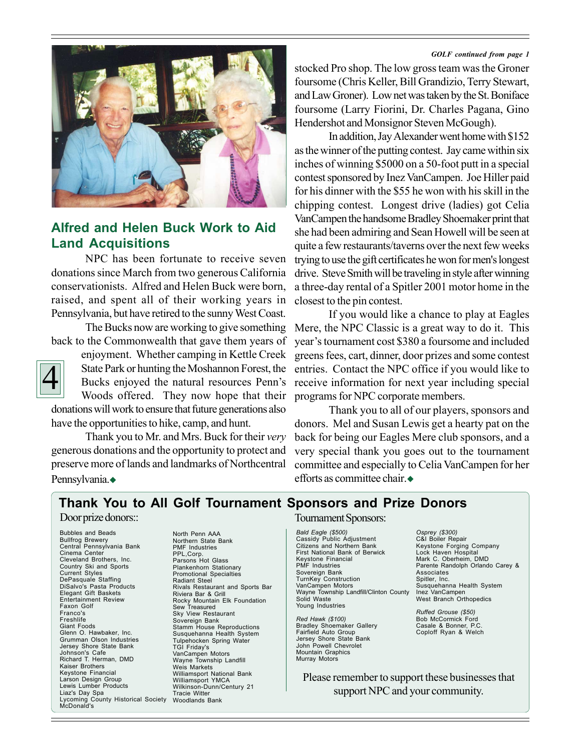#### *GOLF continued from page 1*



### **Alfred and Helen Buck Work to Aid Land Acquisitions**

NPC has been fortunate to receive seven donations since March from two generous California conservationists. Alfred and Helen Buck were born, raised, and spent all of their working years in Pennsylvania, but have retired to the sunny West Coast.

The Bucks now are working to give something back to the Commonwealth that gave them years of



enjoyment. Whether camping in Kettle Creek State Park or hunting the Moshannon Forest, the Bucks enjoyed the natural resources Penn's Woods offered. They now hope that their

donations will work to ensure that future generations also have the opportunities to hike, camp, and hunt.

Thank you to Mr. and Mrs. Buck for their *very* generous donations and the opportunity to protect and preserve more of lands and landmarks of Northcentral Pennsylvania.◆

stocked Pro shop. The low gross team was the Groner foursome (Chris Keller, Bill Grandizio, Terry Stewart, and Law Groner). Low net was taken by the St. Boniface foursome (Larry Fiorini, Dr. Charles Pagana, Gino Hendershot and Monsignor Steven McGough).

In addition, Jay Alexander went home with \$152 as the winner of the putting contest. Jay came within six inches of winning \$5000 on a 50-foot putt in a special contest sponsored by Inez VanCampen. Joe Hiller paid for his dinner with the \$55 he won with his skill in the chipping contest. Longest drive (ladies) got Celia VanCampen the handsome Bradley Shoemaker print that she had been admiring and Sean Howell will be seen at quite a few restaurants/taverns over the next few weeks trying to use the gift certificates he won for men's longest drive. Steve Smith will be traveling in style after winning a three-day rental of a Spitler 2001 motor home in the closest to the pin contest.

If you would like a chance to play at Eagles Mere, the NPC Classic is a great way to do it. This year's tournament cost \$380 a foursome and included greens fees, cart, dinner, door prizes and some contest entries. Contact the NPC office if you would like to receive information for next year including special programs for NPC corporate members.

Thank you to all of our players, sponsors and donors. Mel and Susan Lewis get a hearty pat on the back for being our Eagles Mere club sponsors, and a very special thank you goes out to the tournament committee and especially to Celia VanCampen for her efforts as committee chair  $\triangle$ 

### **Thank You to All Golf Tournament Sponsors and Prize Donors**

#### Door prize donors::

Bubbles and Beads Bullfrog Brewery Central Pennsylvania Bank Cinema Center Cleveland Brothers, Inc. Country Ski and Sports Current Styles DePasquale Staffing DiSalvo's Pasta Products Elegant Gift Baskets Entertainment Review Faxon Golf Franco's Freshlife Giant Foods Glenn O. Hawbaker, Inc. Grumman Olson Industries Jersey Shore State Bank Johnson's Cafe Richard T. Herman, DMD Kaiser Brothers Keystone Financial Larson Design Group Lewis Lumber Products Liaz's Day Spa Lycoming County Historical Society Tracie Witter Woodlands Bank McDonald's

North Penn AAA Northern State Bank PMF Industries PPL,Corp. Parsons Hot Glass Plankenhorn Stationary Promotional Specialties Radiant Steel Rivals Restaurant and Sports Bar Riviera Bar & Grill Rocky Mountain Elk Foundation Sew Treasured Sky View Restaurant Sovereign Bank Stamm House Reproductions Susquehanna Health System Tulpehocken Spring Water TGI Friday's VanCampen Motors Wayne Township Landfill Weis Markets Williamsport National Bank Williamsport YMCA Wilkinson-Dunn/Century 21

#### Tournament Sponsors:

*Bald Eagle (\$500)* Cassidy Public Adjustment Citizens and Northern Bank First National Bank of Berwick Keystone Financial PMF Industries Sovereign Bank TurnKey Construction VanCampen Motors Wayne Township Landfill/Clinton County Solid Waste Young Industries

*Red Hawk (\$100)* Bradley Shoemaker Gallery Fairfield Auto Group Jersey Shore State Bank John Powell Chevrolet Mountain Graphics Murray Motors

*Osprey (\$300)* C&I Boiler Repair Keystone Forging Company Lock Haven Hospital Mark C. Oberheim, DMD Parente Randolph Orlando Carey & **Associates** Spitler, Inc. Susquehanna Health System Inez VanCampen West Branch Orthopedics

*Ruffed Grouse (\$50)* Bob McCormick Ford Casale & Bonner, P.C. Coploff Ryan & Welch

Please remember to support these businesses that support NPC and your community.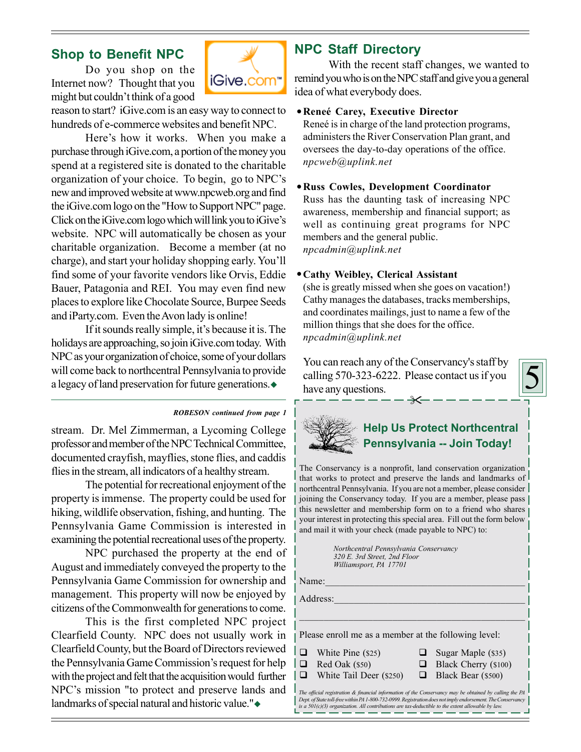### **Shop to Benefit NPC**

Do you shop on the Internet now? Thought that you might but couldn't think of a good



reason to start? iGive.com is an easy way to connect to hundreds of e-commerce websites and benefit NPC.

Here's how it works. When you make a purchase through iGive.com, a portion of the money you spend at a registered site is donated to the charitable organization of your choice. To begin, go to NPC's new and improved website at www.npcweb.org and find the iGive.com logo on the "How to Support NPC" page. Click on the iGive.com logo which will link you to iGive's website. NPC will automatically be chosen as your charitable organization. Become a member (at no charge), and start your holiday shopping early. You'll find some of your favorite vendors like Orvis, Eddie Bauer, Patagonia and REI. You may even find new places to explore like Chocolate Source, Burpee Seeds and iParty.com. Even the Avon lady is online!

If it sounds really simple, it's because it is. The holidays are approaching, so join iGive.com today. With NPC as your organization of choice, some of your dollars will come back to northcentral Pennsylvania to provide a legacy of land preservation for future generations.

#### *ROBESON continued from page 1*

stream. Dr. Mel Zimmerman, a Lycoming College professor and member of the NPC Technical Committee, documented crayfish, mayflies, stone flies, and caddis flies in the stream, all indicators of a healthy stream.

The potential for recreational enjoyment of the property is immense. The property could be used for hiking, wildlife observation, fishing, and hunting. The Pennsylvania Game Commission is interested in examining the potential recreational uses of the property.

NPC purchased the property at the end of August and immediately conveyed the property to the Pennsylvania Game Commission for ownership and management. This property will now be enjoyed by citizens of the Commonwealth for generations to come.

This is the first completed NPC project Clearfield County. NPC does not usually work in Clearfield County, but the Board of Directors reviewed the Pennsylvania Game Commission's request for help with the project and felt that the acquisition would further NPC's mission "to protect and preserve lands and landmarks of special natural and historic value."

### **NPC Staff Directory**

With the recent staff changes, we wanted to remind you who is on the NPC staff and give you a general idea of what everybody does.

#### **ReneÈ Carey, Executive Director**

Reneé is in charge of the land protection programs, administers the River Conservation Plan grant, and oversees the day-to-day operations of the office. *npcweb@uplink.net*

#### **Russ Cowles, Development Coordinator**

Russ has the daunting task of increasing NPC awareness, membership and financial support; as well as continuing great programs for NPC members and the general public. *npcadmin@uplink.net*

#### **Cathy Weibley, Clerical Assistant**

(she is greatly missed when she goes on vacation!) Cathy manages the databases, tracks memberships, and coordinates mailings, just to name a few of the million things that she does for the office. *npcadmin@uplink.net*

 $\overline{\mathbf{x}}$ You can reach any of the Conservancy's staff by calling 570-323-6222. Please contact us if you have any questions.





### **Help Us Protect Northcentral Pennsylvania -- Join Today!**

The Conservancy is a nonprofit, land conservation organization that works to protect and preserve the lands and landmarks of northcentral Pennsylvania. If you are not a member, please consider joining the Conservancy today. If you are a member, please pass this newsletter and membership form on to a friend who shares your interest in protecting this special area. Fill out the form below and mail it with your check (made payable to NPC) to:

> *Northcentral Pennsylvania Conservancy 320 E. 3rd Street, 2nd Floor Williamsport, PA 17701*

Name:  $\Box$ 

Address:

Please enroll me as a member at the following level:

- $\Box$  White Pine (\$25)  $\Box$  Sugar Maple (\$35)
- 
- $\Box$  Red Oak (\$50)  $\Box$  Black Cherry (\$100)
- White Tail Deer (\$250) Black Bear (\$500)

*The official registration & financial information of the Conservancy may be obtained by calling the PA Dept. of State toll-free within PA 1-800-732-0999. Registration does not imply endorsement. The Conservancy is a 501(c)(3) organization. All contributions are tax-deductible to the extent allowable by law.*